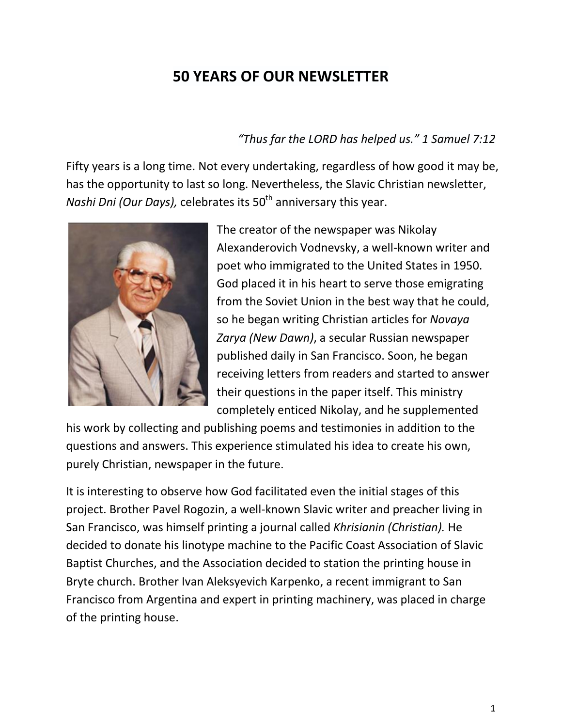## **50 YEARS OF OUR NEWSLETTER**

## *"Thus far the LORD has helped us." 1 Samuel 7:12*

Fifty years is a long time. Not every undertaking, regardless of how good it may be, has the opportunity to last so long. Nevertheless, the Slavic Christian newsletter, *Nashi Dni (Our Days), celebrates its 50<sup>th</sup> anniversary this year.* 



The creator of the newspaper was Nikolay Alexanderovich Vodnevsky, a well-known writer and poet who immigrated to the United States in 1950. God placed it in his heart to serve those emigrating from the Soviet Union in the best way that he could, so he began writing Christian articles for *Novaya Zarya (New Dawn)*, a secular Russian newspaper published daily in San Francisco. Soon, he began receiving letters from readers and started to answer their questions in the paper itself. This ministry completely enticed Nikolay, and he supplemented

his work by collecting and publishing poems and testimonies in addition to the questions and answers. This experience stimulated his idea to create his own, purely Christian, newspaper in the future.

It is interesting to observe how God facilitated even the initial stages of this project. Brother Pavel Rogozin, a well-known Slavic writer and preacher living in San Francisco, was himself printing a journal called *Khrisianin (Christian).* He decided to donate his linotype machine to the Pacific Coast Association of Slavic Baptist Churches, and the Association decided to station the printing house in Bryte church. Brother Ivan Aleksyevich Karpenko, a recent immigrant to San Francisco from Argentina and expert in printing machinery, was placed in charge of the printing house.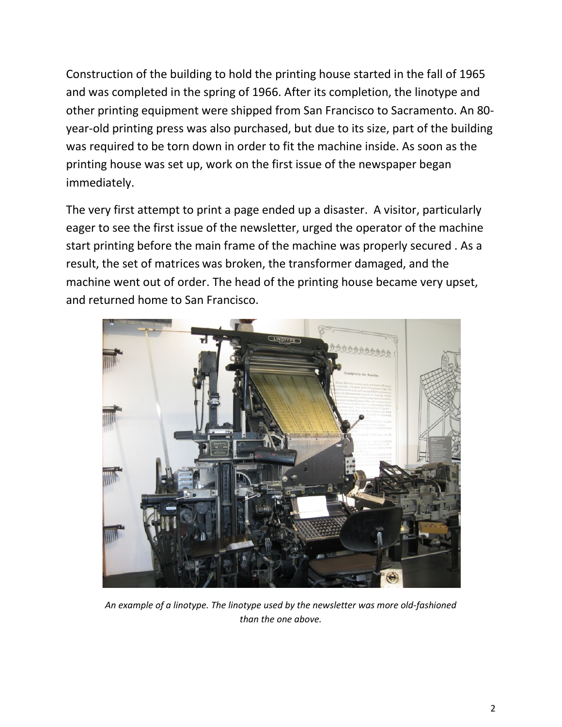Construction of the building to hold the printing house started in the fall of 1965 and was completed in the spring of 1966. After its completion, the linotype and other printing equipment were shipped from San Francisco to Sacramento. An 80 year-old printing press was also purchased, but due to its size, part of the building was required to be torn down in order to fit the machine inside. As soon as the printing house was set up, work on the first issue of the newspaper began immediately.

The very first attempt to print a page ended up a disaster. A visitor, particularly eager to see the first issue of the newsletter, urged the operator of the machine start printing before the main frame of the machine was properly secured . As a result, the set of matrices was broken, the transformer damaged, and the machine went out of order. The head of the printing house became very upset, and returned home to San Francisco.



*An example of a linotype. The linotype used by the newsletter was more old-fashioned than the one above.*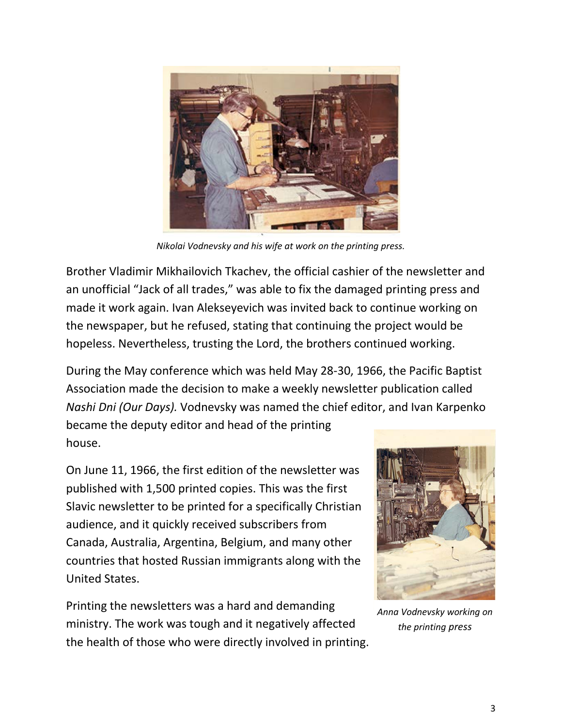

*Nikolai Vodnevsky and his wife at work on the printing press.*

Brother Vladimir Mikhailovich Tkachev, the official cashier of the newsletter and an unofficial "Jack of all trades," was able to fix the damaged printing press and made it work again. Ivan Alekseyevich was invited back to continue working on the newspaper, but he refused, stating that continuing the project would be hopeless. Nevertheless, trusting the Lord, the brothers continued working.

During the May conference which was held May 28-30, 1966, the Pacific Baptist Association made the decision to make a weekly newsletter publication called *Nashi Dni (Our Days).* Vodnevsky was named the chief editor, and Ivan Karpenko

became the deputy editor and head of the printing house.

On June 11, 1966, the first edition of the newsletter was published with 1,500 printed copies. This was the first Slavic newsletter to be printed for a specifically Christian audience, and it quickly received subscribers from Canada, Australia, Argentina, Belgium, and many other countries that hosted Russian immigrants along with the United States.

Printing the newsletters was a hard and demanding ministry. The work was tough and it negatively affected the health of those who were directly involved in printing.



*Anna Vodnevsky working on the printing press*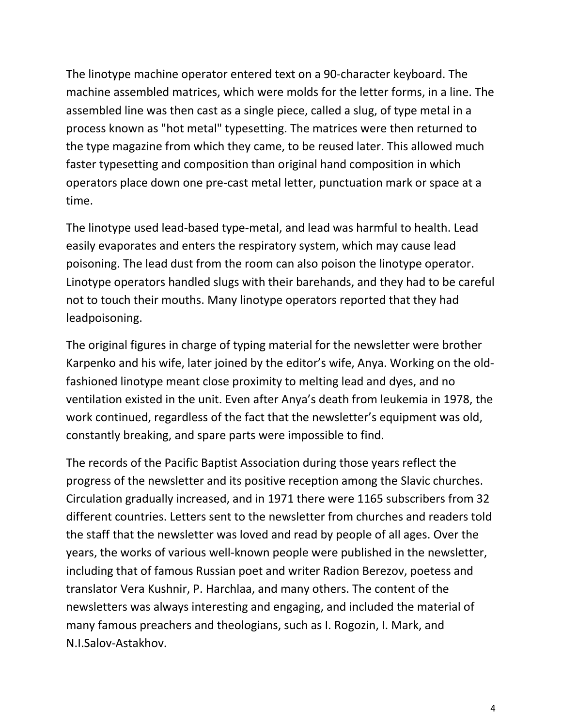The linotype machine operator entered text on a 90-character keyboard. The machine assembled matrices, which were molds for the letter forms, in a line. The assembled line was then cast as a single piece, called a slug, of type metal in a process known as "hot metal" typesetting. The matrices were then returned to the type magazine from which they came, to be reused later. This allowed much faster typesetting and composition than original hand composition in which operators place down one pre-cast metal letter, punctuation mark or space at a time.

The linotype used lead-based type-metal, and lead was harmful to health. Lead easily evaporates and enters the respiratory system, which may cause lead poisoning. The lead dust from the room can also poison the linotype operator. Linotype operators handled slugs with their barehands, and they had to be careful not to touch their mouths. Many linotype operators reported that they had leadpoisoning.

The original figures in charge of typing material for the newsletter were brother Karpenko and his wife, later joined by the editor's wife, Anya. Working on the oldfashioned linotype meant close proximity to melting lead and dyes, and no ventilation existed in the unit. Even after Anya's death from leukemia in 1978, the work continued, regardless of the fact that the newsletter's equipment was old, constantly breaking, and spare parts were impossible to find.

The records of the Pacific Baptist Association during those years reflect the progress of the newsletter and its positive reception among the Slavic churches. Circulation gradually increased, and in 1971 there were 1165 subscribers from 32 different countries. Letters sent to the newsletter from churches and readers told the staff that the newsletter was loved and read by people of all ages. Over the years, the works of various well-known people were published in the newsletter, including that of famous Russian poet and writer Radion Berezov, poetess and translator Vera Kushnir, P. Harchlaa, and many others. The content of the newsletters was always interesting and engaging, and included the material of many famous preachers and theologians, such as I. Rogozin, I. Mark, and N.I.Salov-Astakhov.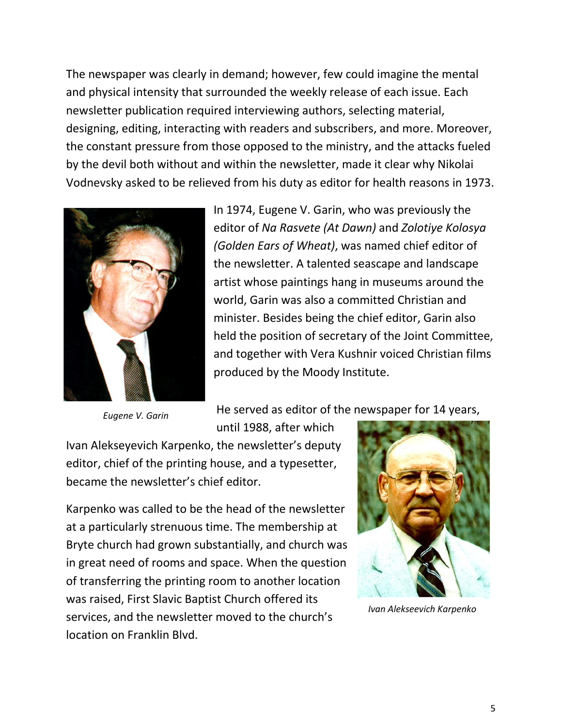The newspaper was clearly in demand; however, few could imagine the mental and physical intensity that surrounded the weekly release of each issue. Each newsletter publication required interviewing authors, selecting material, designing, editing, interacting with readers and subscribers, and more. Moreover, the constant pressure from those opposed to the ministry, and the attacks fueled by the devil both without and within the newsletter, made it clear why Nikolai Vodnevsky asked to be relieved from his duty as editor for health reasons in 1973.



*Eugene V. Garin*

In 1974, Eugene V. Garin, who was previously the editor of *Na Rasvete (At Dawn)* and *Zolotiye Kolosya (Golden Ears of Wheat)*, was named chief editor of the newsletter. A talented seascape and landscape artist whose paintings hang in museums around the world, Garin was also a committed Christian and minister. Besides being the chief editor, Garin also held the position of secretary of the Joint Committee, and together with Vera Kushnir voiced Christian films produced by the Moody Institute.

He served as editor of the newspaper for 14 years,

until 1988, after which

Ivan Alekseyevich Karpenko, the newsletter's deputy editor, chief of the printing house, and a typesetter, became the newsletter's chief editor.

Karpenko was called to be the head of the newsletter at a particularly strenuous time. The membership at Bryte church had grown substantially, and church was in great need of rooms and space. When the question of transferring the printing room to another location was raised, First Slavic Baptist Church offered its services, and the newsletter moved to the church's location on Franklin Blvd.



*Ivan Alekseevich Karpenko*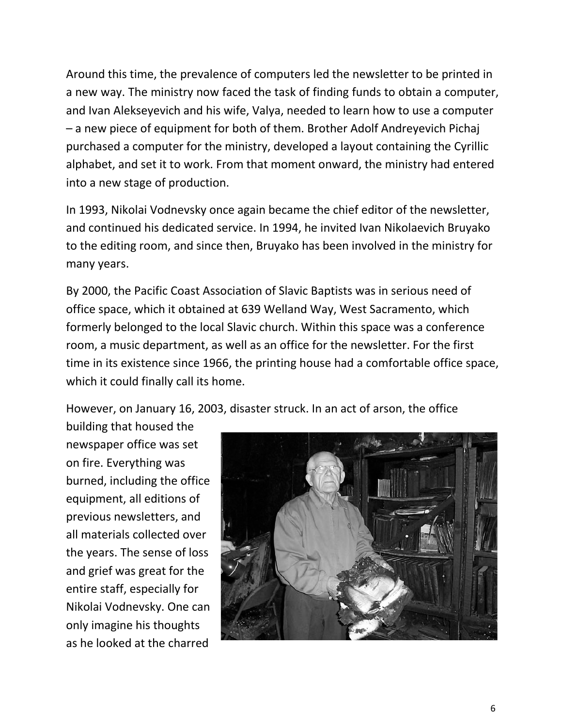Around this time, the prevalence of computers led the newsletter to be printed in a new way. The ministry now faced the task of finding funds to obtain a computer, and Ivan Alekseyevich and his wife, Valya, needed to learn how to use a computer – a new piece of equipment for both of them. Brother Adolf Andreyevich Pichaj purchased a computer for the ministry, developed a layout containing the Cyrillic alphabet, and set it to work. From that moment onward, the ministry had entered into a new stage of production.

In 1993, Nikolai Vodnevsky once again became the chief editor of the newsletter, and continued his dedicated service. In 1994, he invited Ivan Nikolaevich Bruyako to the editing room, and since then, Bruyako has been involved in the ministry for many years.

By 2000, the Pacific Coast Association of Slavic Baptists was in serious need of office space, which it obtained at 639 Welland Way, West Sacramento, which formerly belonged to the local Slavic church. Within this space was a conference room, a music department, as well as an office for the newsletter. For the first time in its existence since 1966, the printing house had a comfortable office space, which it could finally call its home.

However, on January 16, 2003, disaster struck. In an act of arson, the office

building that housed the newspaper office was set on fire. Everything was burned, including the office equipment, all editions of previous newsletters, and all materials collected over the years. The sense of loss and grief was great for the entire staff, especially for Nikolai Vodnevsky. One can only imagine his thoughts as he looked at the charred

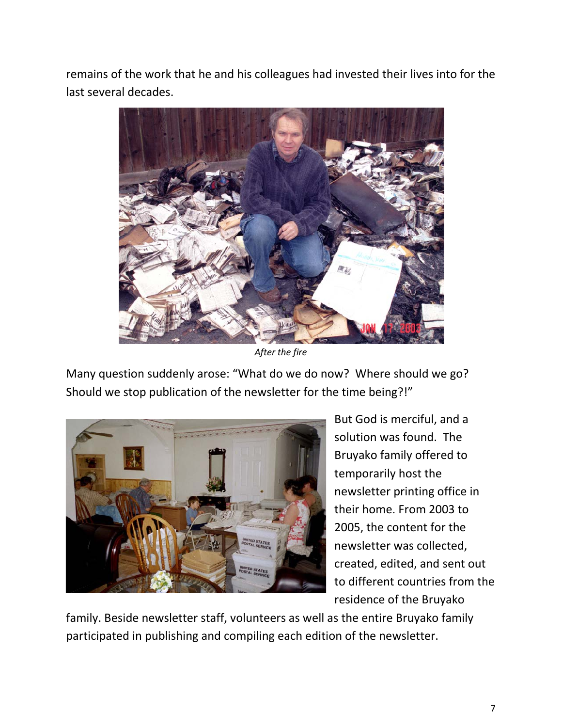remains of the work that he and his colleagues had invested their lives into for the last several decades.



*After the fire*

Many question suddenly arose: "What do we do now? Where should we go? Should we stop publication of the newsletter for the time being?!"



But God is merciful, and a solution was found. The Bruyako family offered to temporarily host the newsletter printing office in their home. From 2003 to 2005, the content for the newsletter was collected, created, edited, and sent out to different countries from the residence of the Bruyako

family. Beside newsletter staff, volunteers as well as the entire Bruyako family participated in publishing and compiling each edition of the newsletter.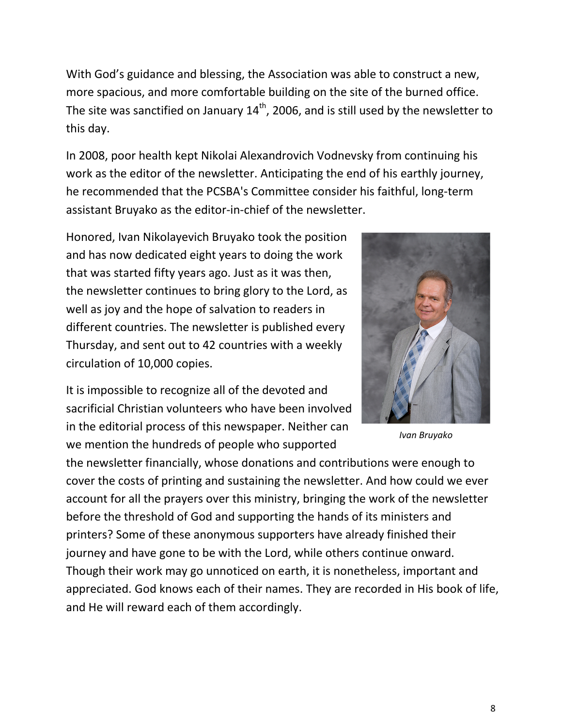With God's guidance and blessing, the Association was able to construct a new, more spacious, and more comfortable building on the site of the burned office. The site was sanctified on January  $14<sup>th</sup>$ , 2006, and is still used by the newsletter to this day.

In 2008, poor health kept Nikolai Alexandrovich Vodnevsky from continuing his work as the editor of the newsletter. Anticipating the end of his earthly journey, he recommended that the PCSBA's Committee consider his faithful, long-term assistant Bruyako as the editor-in-chief of the newsletter.

Honored, Ivan Nikolayevich Bruyako took the position and has now dedicated eight years to doing the work that was started fifty years ago. Just as it was then, the newsletter continues to bring glory to the Lord, as well as joy and the hope of salvation to readers in different countries. The newsletter is published every Thursday, and sent out to 42 countries with a weekly circulation of 10,000 copies.

It is impossible to recognize all of the devoted and sacrificial Christian volunteers who have been involved in the editorial process of this newspaper. Neither can we mention the hundreds of people who supported



*Ivan Bruyako*

the newsletter financially, whose donations and contributions were enough to cover the costs of printing and sustaining the newsletter. And how could we ever account for all the prayers over this ministry, bringing the work of the newsletter before the threshold of God and supporting the hands of its ministers and printers? Some of these anonymous supporters have already finished their journey and have gone to be with the Lord, while others continue onward. Though their work may go unnoticed on earth, it is nonetheless, important and appreciated. God knows each of their names. They are recorded in His book of life, and He will reward each of them accordingly.